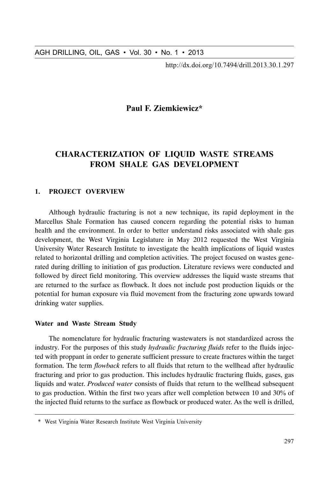http://dx.doi.org/10.7494/drill.2013.30.1.297

# Paul F. Ziemkiewicz\*

# **CHARACTERIZATION OF LIOUID WASTE STREAMS** FROM SHALE GAS DEVELOPMENT

#### 1. PROJECT OVERVIEW

Although hydraulic fracturing is not a new technique, its rapid deployment in the Marcellus Shale Formation has caused concern regarding the potential risks to human health and the environment. In order to better understand risks associated with shale gas development, the West Virginia Legislature in May 2012 requested the West Virginia University Water Research Institute to investigate the health implications of liquid wastes related to horizontal drilling and completion activities. The project focused on wastes generated during drilling to initiation of gas production. Literature reviews were conducted and followed by direct field monitoring. This overview addresses the liquid waste streams that are returned to the surface as flowback. It does not include post production liquids or the potential for human exposure via fluid movement from the fracturing zone upwards toward drinking water supplies.

#### Water and Waste Stream Study

The nomenclature for hydraulic fracturing wastewaters is not standardized across the industry. For the purposes of this study *hydraulic fracturing fluids* refer to the fluids injected with proppant in order to generate sufficient pressure to create fractures within the target formation. The term *flowback* refers to all fluids that return to the wellhead after hydraulic fracturing and prior to gas production. This includes hydraulic fracturing fluids, gases, gas liquids and water. *Produced water* consists of fluids that return to the wellhead subsequent to gas production. Within the first two years after well completion between 10 and 30% of the injected fluid returns to the surface as flowback or produced water. As the well is drilled,

<sup>\*</sup> West Virginia Water Research Institute West Virginia University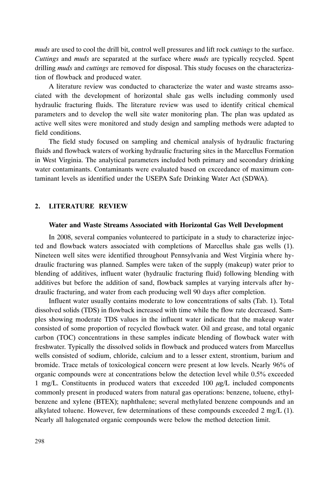*muds* are used to cool the drill bit, control well pressures and lift rock *cuttings* to the surface. *Cuttings* and *muds* are separated at the surface where *muds* are typically recycled. Spent drilling *muds* and *cuttings* are removed for disposal. This study focuses on the characterization of flowback and produced water.

A literature review was conducted to characterize the water and waste streams associated with the development of horizontal shale gas wells including commonly used hydraulic fracturing fluids. The literature review was used to identify critical chemical parameters and to develop the well site water monitoring plan. The plan was updated as active well sites were monitored and study design and sampling methods were adapted to field conditions.

The field study focused on sampling and chemical analysis of hydraulic fracturing fluids and flowback waters of working hydraulic fracturing sites in the Marcellus Formation in West Virginia. The analytical parameters included both primary and secondary drinking water contaminants. Contaminants were evaluated based on exceedance of maximum contaminant levels as identified under the USEPA Safe Drinking Water Act (SDWA).

### 2. LITERATURE REVIEW

#### **Water and Waste Streams Associated with Horizontal Gas Well Development**

In 2008, several companies volunteered to participate in a study to characterize injected and flowback waters associated with completions of Marcellus shale gas wells (1). Nineteen well sites were identified throughout Pennsylvania and West Virginia where hydraulic fracturing was planned. Samples were taken of the supply (makeup) water prior to blending of additives, influent water (hydraulic fracturing fluid) following blending with additives but before the addition of sand, flowback samples at varying intervals after hydraulic fracturing, and water from each producing well 90 days after completion.

Influent water usually contains moderate to low concentrations of salts (Tab. 1). Total dissolved solids (TDS) in flowback increased with time while the flow rate decreased. Samples showing moderate TDS values in the influent water indicate that the makeup water consisted of some proportion of recycled flowback water. Oil and grease, and total organic carbon (TOC) concentrations in these samples indicate blending of flowback water with freshwater. Typically the dissolved solids in flowback and produced waters from Marcellus wells consisted of sodium, chloride, calcium and to a lesser extent, strontium, barium and bromide. Trace metals of toxicological concern were present at low levels. Nearly 96% of organic compounds were at concentrations below the detection level while 0.5% exceeded 1 mg/L. Constituents in produced waters that exceeded 100  $\mu$ g/L included components commonly present in produced waters from natural gas operations: benzene, toluene, ethylbenzene and xylene (BTEX); naphthalene; several methylated benzene compounds and an alkylated toluene. However, few determinations of these compounds exceeded  $2 \text{ mg/L (1)}$ . Nearly all halogenated organic compounds were below the method detection limit.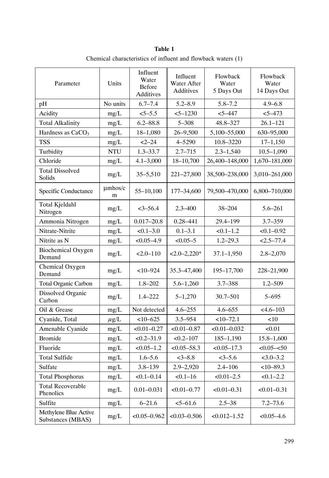|                                            |                   | Table 1                                         |                                      | Chemical characteristics of influent and flowback waters (1) |                                  |  |
|--------------------------------------------|-------------------|-------------------------------------------------|--------------------------------------|--------------------------------------------------------------|----------------------------------|--|
| Parameter                                  | Units             | Influent<br>Water<br><b>Before</b><br>Additives | Influent<br>Water After<br>Additives | Flowback<br>Water<br>5 Days Out                              | Flowback<br>Water<br>14 Days Out |  |
| pH                                         | No units          | $6.7 - 7.4$                                     | $5.2 - 8.9$                          | $5.8 - 7.2$                                                  | $4.9 - 6.8$                      |  |
| Acidity                                    | mg/L              | $5 - 5.5$                                       | $5 - 1230$                           | $5 - 447$                                                    | $5 - 473$                        |  |
| <b>Total Alkalinity</b>                    | mg/L              | $6.2 - 88.8$                                    | $5 - 308$                            | 48.8-327<br>$26.1 - 121$                                     |                                  |  |
| Hardness as $CaCO3$                        | mg/L              | 18-1,080                                        | $26 - 9,500$                         | 5,100-55,000                                                 | 630-95,000                       |  |
| <b>TSS</b>                                 | mg/L              | $2 - 24$                                        | 4-5290                               | 10.8–3220<br>$17 - 1,150$                                    |                                  |  |
| Turbidity                                  | <b>NTU</b>        | $1.3 - 33.7$                                    | $2.7 - 715$                          | $2.3 - 1.540$                                                | $10.5 - 1,090$                   |  |
| Chloride                                   | mg/L              | $4.1 - 3,000$                                   | 18-10,700                            | 26,400-148,000                                               | 1,670-181,000                    |  |
| <b>Total Dissolved</b><br>Solids           | mg/L              | $35 - 5,510$                                    | 221-27,800                           | 38,500-238,000                                               | 3,010-261,000                    |  |
| Specific Conductance                       | $\mu$ mhos/c<br>m | 55-10,100                                       | 177-34,600                           | 79,500-470,000                                               | 6,800-710,000                    |  |
| Total Kjeldahl<br>Nitrogen                 | mg/L              | $<3-56.4$                                       | $2.3 - 400$                          | 38-204                                                       | $5.6 - 261$                      |  |
| Ammonia Nitrogen                           | mg/L              | $0.017 - 20.8$                                  | $0.28 - 441$                         | 29.4-199                                                     | $3.7 - 359$                      |  |
| Nitrate-Nitrite                            | mg/L              | $< 0.1 - 3.0$                                   | $0.1 - 3.1$                          | $<0.1-1.2$                                                   | $< 0.1 - 0.92$                   |  |
| Nitrite as N                               | mg/L              | $<0.05-4.9$                                     | $<0.05-5$                            | $1.2 - 29.3$                                                 | $< 2.5 - 77.4$                   |  |
| Biochemical Oxygen<br>Demand               | mg/L              | $<2.0-110$                                      | $< 2.0 - 2.220*$                     | $37.1 - 1,950$                                               | $2.8 - 2.070$                    |  |
| Chemical Oxygen<br>Demand                  | mg/L              | $<10-924$                                       | 35.3 - 47,400                        | 195-17,700                                                   | 228-21,900                       |  |
| Total Organic Carbon                       | mg/L              | $1.8 - 202$                                     | $5.6 - 1,260$                        | $3.7 - 388$                                                  | $1.2 - 509$                      |  |
| Dissolved Organic<br>Carbon                | mg/L              | $1.4 - 222$                                     | $5 - 1,270$                          | 30.7–501                                                     | $5 - 695$                        |  |
| Oil & Grease                               | mg/L              | Not detected                                    | $4.6 - 255$                          | $4.6 - 655$                                                  | $<4.6-103$                       |  |
| Cyanide, Total                             | $\mu$ g/L         | $<10-625$                                       | $3.5 - 954$                          | $<10-72.1$                                                   | <10                              |  |
| Amenable Cyanide                           | mg/L              | $< 0.01 - 0.27$                                 | $< 0.01 - 0.87$                      | $< 0.01 - 0.032$                                             | < 0.01                           |  |
| <b>Bromide</b>                             | mg/L              | $<0.2-31.9$                                     | $< 0.2 - 107$                        | 185-1,190                                                    | $15.8 - 1,600$                   |  |
| Fluoride                                   | mg/L              | $< 0.05 - 1.2$                                  | $<0.05 - 58.3$                       | $< 0.05 - 17.3$                                              | $<0.05 - <50$                    |  |
| <b>Total Sulfide</b>                       | mg/L              | $1.6 - 5.6$                                     | $<3 - 8.8$                           | $3 - 5.6$                                                    | $<3.0-3.2$                       |  |
| Sulfate                                    | mg/L              | $3.8 - 139$                                     | $2.9 - 2,920$                        | $2.4 - 106$                                                  | $<10-89.3$                       |  |
| <b>Total Phosphorus</b>                    | mg/L              | $<0.1 - 0.14$                                   | $<0.1-16$                            | $<0.01-2.5$                                                  | $< 0.1 - 2.2$                    |  |
| <b>Total Recoverable</b><br>Phenolics      | mg/L              | $0.01 - 0.031$                                  | $< 0.01 - 0.77$                      | $< 0.01 - 0.31$                                              | $< 0.01 - 0.31$                  |  |
| Sulfite                                    | mg/L              | $6 - 21.6$                                      | $5 - 61.6$                           | $2.5 - 38$                                                   | $7.2 - 73.6$                     |  |
| Methylene Blue Active<br>Substances (MBAS) | mg/L              | $< 0.05 - 0.962$                                | $<0.03 - 0.506$                      | $< 0.012 - 1.52$                                             | $<0.05-4.6$                      |  |
|                                            |                   |                                                 |                                      |                                                              | 299                              |  |

Chemical characteristics of influent and flowback waters (1)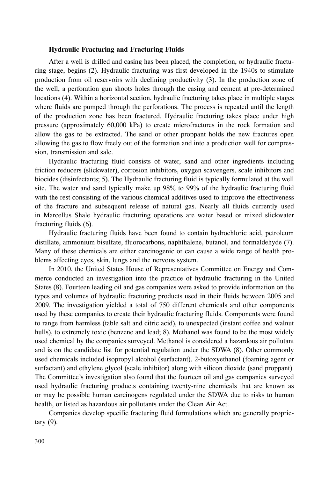#### **Hydraulic Fracturing and Fracturing Fluids**

After a well is drilled and casing has been placed, the completion, or hydraulic fracturing stage, begins (2). Hydraulic fracturing was first developed in the 1940s to stimulate production from oil reservoirs with declining productivity (3). In the production zone of the well, a perforation gun shoots holes through the casing and cement at pre-determined locations (4). Within a horizontal section, hydraulic fracturing takes place in multiple stages where fluids are pumped through the perforations. The process is repeated until the length of the production zone has been fractured. Hydraulic fracturing takes place under high pressure (approximately 60,000 kPa) to create microfractures in the rock formation and allow the gas to be extracted. The sand or other proppant holds the new fractures open allowing the gas to flow freely out of the formation and into a production well for compression, transmission and sale.

Hydraulic fracturing fluid consists of water, sand and other ingredients including friction reducers (slickwater), corrosion inhibitors, oxygen scavengers, scale inhibitors and biocides (disinfectants; 5). The Hydraulic fracturing fluid is typically formulated at the well site. The water and sand typically make up 98% to 99% of the hydraulic fracturing fluid with the rest consisting of the various chemical additives used to improve the effectiveness of the fracture and subsequent release of natural gas. Nearly all fluids currently used in Marcellus Shale hydraulic fracturing operations are water based or mixed slickwater fracturing fluids (6).

Hydraulic fracturing fluids have been found to contain hydrochloric acid, petroleum distillate, ammonium bisulfate, fluorocarbons, naphthalene, butanol, and formaldehyde (7). Many of these chemicals are either carcinogenic or can cause a wide range of health problems affecting eyes, skin, lungs and the nervous system.

In 2010, the United States House of Representatives Committee on Energy and Commerce conducted an investigation into the practice of hydraulic fracturing in the United States (8). Fourteen leading oil and gas companies were asked to provide information on the types and volumes of hydraulic fracturing products used in their fluids between 2005 and 2009. The investigation yielded a total of 750 different chemicals and other components used by these companies to create their hydraulic fracturing fluids. Components were found to range from harmless (table salt and citric acid), to unexpected (instant coffee and walnut hulls), to extremely toxic (benzene and lead; 8). Methanol was found to be the most widely used chemical by the companies surveyed. Methanol is considered a hazardous air pollutant and is on the candidate list for potential regulation under the SDWA (8). Other commonly used chemicals included isopropyl alcohol (surfactant), 2-butoxyethanol (foaming agent or surfactant) and ethylene glycol (scale inhibitor) along with silicon dioxide (sand proppant). The Committee's investigation also found that the fourteen oil and gas companies surveyed used hydraulic fracturing products containing twenty-nine chemicals that are known as or may be possible human carcinogens regulated under the SDWA due to risks to human health, or listed as hazardous air pollutants under the Clean Air Act.

Companies develop specific fracturing fluid formulations which are generally proprietary (9).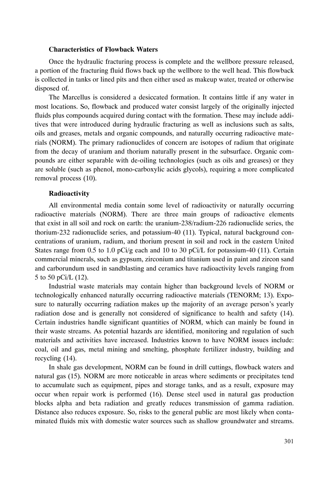#### **Characteristics of Flowback Waters**

Once the hydraulic fracturing process is complete and the wellbore pressure released, a portion of the fracturing fluid flows back up the wellbore to the well head. This flowback is collected in tanks or lined pits and then either used as makeup water, treated or otherwise disposed of.

The Marcellus is considered a desiccated formation. It contains little if any water in most locations. So, flowback and produced water consist largely of the originally injected fluids plus compounds acquired during contact with the formation. These may include additives that were introduced during hydraulic fracturing as well as inclusions such as salts, oils and greases, metals and organic compounds, and naturally occurring radioactive materials (NORM). The primary radionuclides of concern are isotopes of radium that originate from the decay of uranium and thorium naturally present in the subsurface. Organic compounds are either separable with de-oiling technologies (such as oils and greases) or they are soluble (such as phenol, mono-carboxylic acids glycols), requiring a more complicated removal process (10).

#### **Radioactivity**

All environmental media contain some level of radioactivity or naturally occurring radioactive materials (NORM). There are three main groups of radioactive elements that exist in all soil and rock on earth: the uranium-238/radium-226 radionuclide series, the thorium-232 radionuclide series, and potassium-40 (11). Typical, natural background concentrations of uranium, radium, and thorium present in soil and rock in the eastern United States range from 0.5 to 1.0 pCi/g each and 10 to 30 pCi/L for potassium-40 (11). Certain commercial minerals, such as gypsum, zirconium and titanium used in paint and zircon sand and carborundum used in sandblasting and ceramics have radioactivity levels ranging from 5 to 50 pCi/L (12).

Industrial waste materials may contain higher than background levels of NORM or technologically enhanced naturally occurring radioactive materials (TENORM; 13). Exposure to naturally occurring radiation makes up the majority of an average person's yearly radiation dose and is generally not considered of significance to health and safety (14). Certain industries handle significant quantities of NORM, which can mainly be found in their waste streams. As potential hazards are identified, monitoring and regulation of such materials and activities have increased. Industries known to have NORM issues include: coal, oil and gas, metal mining and smelting, phosphate fertilizer industry, building and recycling (14).

In shale gas development, NORM can be found in drill cuttings, flowback waters and natural gas (15). NORM are more noticeable in areas where sediments or precipitates tend to accumulate such as equipment, pipes and storage tanks, and as a result, exposure may occur when repair work is performed (16). Dense steel used in natural gas production blocks alpha and beta radiation and greatly reduces transmission of gamma radiation. Distance also reduces exposure. So, risks to the general public are most likely when contaminated fluids mix with domestic water sources such as shallow groundwater and streams.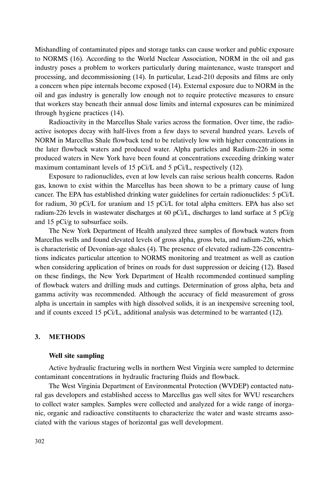Mishandling of contaminated pipes and storage tanks can cause worker and public exposure to NORMS (16). According to the World Nuclear Association, NORM in the oil and gas industry poses a problem to workers particularly during maintenance, waste transport and processing, and decommissioning (14). In particular, Lead-210 deposits and films are only a concern when pipe internals become exposed (14). External exposure due to NORM in the oil and gas industry is generally low enough not to require protective measures to ensure that workers stay beneath their annual dose limits and internal exposures can be minimized through hygiene practices (14).

Radioactivity in the Marcellus Shale varies across the formation. Over time, the radioactive isotopes decay with half-lives from a few days to several hundred years. Levels of NORM in Marcellus Shale flowback tend to be relatively low with higher concentrations in the later flowback waters and produced water. Alpha particles and Radium-226 in some produced waters in New York have been found at concentrations exceeding drinking water maximum contaminant levels of 15 pCi/L and 5 pCi/L, respectively (12).

Exposure to radionuclides, even at low levels can raise serious health concerns. Radon gas, known to exist within the Marcellus has been shown to be a primary cause of lung cancer. The EPA has established drinking water guidelines for certain radionuclides: 5 pCi/L for radium, 30 pCi/L for uranium and 15 pCi/L for total alpha emitters. EPA has also set radium-226 levels in wastewater discharges at 60 pCi/L, discharges to land surface at 5 pCi/g and 15 pCi/g to subsurface soils.

The New York Department of Health analyzed three samples of flowback waters from Marcellus wells and found elevated levels of gross alpha, gross beta, and radium-226, which is characteristic of Devonian-age shales (4). The presence of elevated radium-226 concentrations indicates particular attention to NORMS monitoring and treatment as well as caution when considering application of brines on roads for dust suppression or deicing (12). Based on these findings, the New York Department of Health recommended continued sampling of flowback waters and drilling muds and cuttings. Determination of gross alpha, beta and gamma activity was recommended. Although the accuracy of field measurement of gross alpha is uncertain in samples with high dissolved solids, it is an inexpensive screening tool, and if counts exceed 15 pCi/L, additional analysis was determined to be warranted (12).

#### 3. METHODS

#### **Well site sampling**

Active hydraulic fracturing wells in northern West Virginia were sampled to determine contaminant concentrations in hydraulic fracturing fluids and flowback.

The West Virginia Department of Environmental Protection (WVDEP) contacted natural gas developers and established access to Marcellus gas well sites for WVU researchers to collect water samples. Samples were collected and analyzed for a wide range of inorganic, organic and radioactive constituents to characterize the water and waste streams associated with the various stages of horizontal gas well development.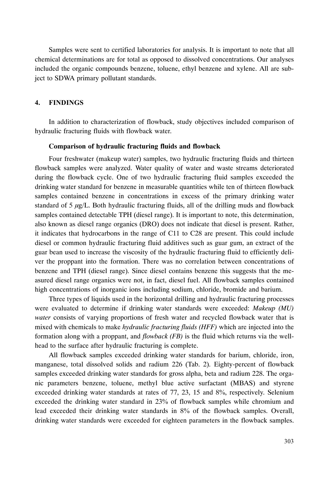Samples were sent to certified laboratories for analysis. It is important to note that all chemical determinations are for total as opposed to dissolved concentrations. Our analyses included the organic compounds benzene, toluene, ethyl benzene and xylene. All are subject to SDWA primary pollutant standards.

#### 4. FINDINGS

In addition to characterization of flowback, study objectives included comparison of hydraulic fracturing fluids with flowback water.

#### **Comparison of hydraulic fracturing fluids and flowback**

Four freshwater (makeup water) samples, two hydraulic fracturing fluids and thirteen flowback samples were analyzed. Water quality of water and waste streams deteriorated during the flowback cycle. One of two hydraulic fracturing fluid samples exceeded the drinking water standard for benzene in measurable quantities while ten of thirteen flowback samples contained benzene in concentrations in excess of the primary drinking water standard of 5  $\mu$ g/L. Both hydraulic fracturing fluids, all of the drilling muds and flowback samples contained detectable TPH (diesel range). It is important to note, this determination, also known as diesel range organics (DRO) does not indicate that diesel is present. Rather, it indicates that hydrocarbons in the range of C11 to C28 are present. This could include diesel or common hydraulic fracturing fluid additives such as guar gum, an extract of the guar bean used to increase the viscosity of the hydraulic fracturing fluid to efficiently deliver the proppant into the formation. There was no correlation between concentrations of benzene and TPH (diesel range). Since diesel contains benzene this suggests that the measured diesel range organics were not, in fact, diesel fuel. All flowback samples contained high concentrations of inorganic ions including sodium, chloride, bromide and barium.

Three types of liquids used in the horizontal drilling and hydraulic fracturing processes were evaluated to determine if drinking water standards were exceeded: *Makeup (MU) water* consists of varying proportions of fresh water and recycled flowback water that is mixed with chemicals to make *hydraulic fracturing fluids (HFF)* which are injected into the formation along with a proppant, and *flowback (FB)* is the fluid which returns via the wellhead to the surface after hydraulic fracturing is complete.

All flowback samples exceeded drinking water standards for barium, chloride, iron, manganese, total dissolved solids and radium 226 (Tab. 2). Eighty-percent of flowback samples exceeded drinking water standards for gross alpha, beta and radium 228. The organic parameters benzene, toluene, methyl blue active surfactant (MBAS) and styrene exceeded drinking water standards at rates of 77, 23, 15 and 8%, respectively. Selenium exceeded the drinking water standard in 23% of flowback samples while chromium and lead exceeded their drinking water standards in  $8\%$  of the flowback samples. Overall, drinking water standards were exceeded for eighteen parameters in the flowback samples.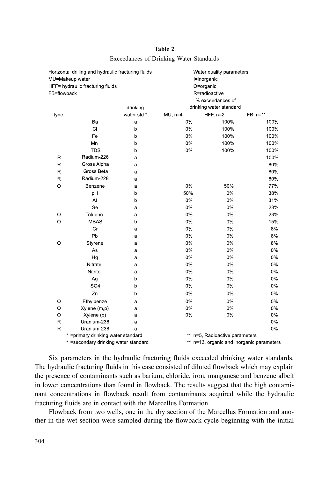|                         | Horizontal drilling and hydraulic fracturing fluids |             |                  | Water quality parameters                  |              |
|-------------------------|-----------------------------------------------------|-------------|------------------|-------------------------------------------|--------------|
|                         | MU=Makeup water                                     |             |                  | l=inorganic                               |              |
|                         | HFF= hydraulic fracturing fluids                    |             |                  | O=organic                                 |              |
| FB=flowback             |                                                     |             |                  | R=radioactive                             |              |
|                         |                                                     |             | % exceedances of |                                           |              |
|                         |                                                     | drinking    |                  | drinking water standard                   |              |
| type                    |                                                     | water std * | $MU, n=4$        | $HFF, n=2$                                | $FB, n = **$ |
|                         | Вa                                                  | a           | 0%               | 100%                                      | 100%         |
|                         | CI                                                  | $\mathbf b$ | 0%               | 100%                                      | 100%         |
|                         | Fe                                                  | b           | 0%               | 100%                                      | 100%         |
| I                       | Mn                                                  | b           | 0%               | 100%                                      | 100%         |
| $\mathbf{I}$            | <b>TDS</b>                                          | p           | 0%               | 100%                                      | 100%         |
| $\mathsf{R}$            | Radium-226                                          | a           |                  |                                           | 100%         |
| R                       | Gross Alpha                                         | a           |                  |                                           | 80%          |
| $\overline{\mathsf{R}}$ | Gross Beta                                          | a           |                  |                                           | 80%          |
| $\mathsf{R}$            | Radium-228                                          | a           |                  |                                           | 80%          |
| $\circ$                 | Benzene                                             | a           | 0%               | 50%                                       | 77%          |
| T                       | pH                                                  | b           | 50%              | 0%                                        | 38%          |
| $\mathbf l$             | Al                                                  | b           | 0%               | 0%                                        | 31%          |
| $\mathbf{I}$            | Se                                                  | a           | 0%               | 0%                                        | 23%          |
| O                       | Toluene                                             | a           | 0%               | 0%                                        | 23%          |
| O                       | <b>MBAS</b>                                         | b           | 0%               | 0%                                        | 15%          |
| T                       | Cr                                                  | a           | 0%               | 0%                                        | 8%           |
| $\mathbf{I}$            | Pb                                                  | a           | 0%               | 0%                                        | 8%           |
| O                       | Styrene                                             | a           | 0%               | 0%                                        | 8%           |
| $\mathbf{I}$            | As                                                  | a           | 0%               | 0%                                        | 0%           |
| I                       | Hg                                                  | a           | 0%               | 0%                                        | 0%           |
| I                       | Nitrate                                             | a           | 0%               | 0%                                        | 0%           |
|                         | Nitrite                                             | a           | 0%               | 0%                                        | 0%           |
|                         | Ag                                                  | b           | 0%               | 0%                                        | 0%           |
|                         | SO <sub>4</sub>                                     | b           | 0%               | 0%                                        | 0%           |
| T                       | Zn                                                  | b           | 0%               | 0%                                        | 0%           |
| O                       | Ethylbenze                                          | a           | 0%               | 0%                                        | 0%           |
| O                       | Xylene (m,p)                                        | a           | 0%               | 0%                                        | 0%           |
| $\circ$                 | Xylene (o)                                          | a           | 0%               | 0%                                        | 0%           |
| $\mathsf{R}$            | Uranium-238                                         | a           |                  |                                           | 0%           |
| $\mathsf{R}$            | Uranium 238                                         | a           |                  |                                           | 0%           |
|                         | * = primary drinking water standard                 |             |                  | n=5, Radioactive parameters               |              |
|                         | * = secondary drinking water standard               |             |                  | ** n=13, organic and inorganic parameters |              |

# Table 2 Exceedances of Drinking Water Standards

Six parameters in the hydraulic fracturing fluids exceeded drinking water standards. The hydraulic fracturing fluids in this case consisted of diluted flowback which may explain the presence of contaminants such as barium, chloride, iron, manganese and benzene albeit in lower concentrations than found in flowback. The results suggest that the high contaminant concentrations in flowback result from contaminants acquired while the hydraulic fracturing fluids are in contact with the Marcellus Formation.

Flowback from two wells, one in the dry section of the Marcellus Formation and another in the wet section were sampled during the flowback cycle beginning with the initial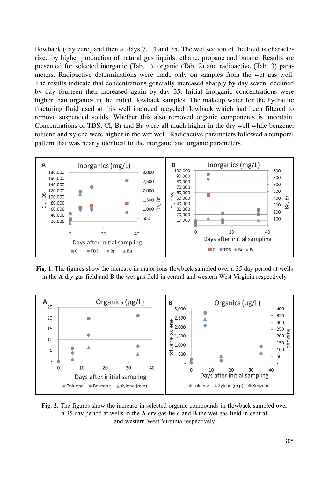flowback (day zero) and then at days 7, 14 and 35. The wet section of the field is characterized by higher production of natural gas liquids: ethane, propane and butane. Results are presented for selected inorganic (Tab. 1), organic (Tab. 2) and radioactive (Tab. 3) parameters. Radioactive determinations were made only on samples from the wet gas well. The results indicate that concentrations generally increased sharply by day seven, declined by day fourteen then increased again by day 35. Initial Inorganic concentrations were higher than organics in the initial flowback samples. The makeup water for the hydraulic fracturing fluid used at this well included recycled flowback which had been filtered to remove suspended solids. Whether this also removed organic components is uncertain. Concentrations of TDS, Cl, Br and Ba were all much higher in the dry well while benzene, toluene and xylene were higher in the wet well. Radioactive parameters followed a temporal pattern that was nearly identical to the inorganic and organic parameters.



Fig. 1. The figures show the increase in major ions flowback sampled over a 35 day period at wells in the A dry gas field and B the wet gas field in central and western West Virginia respectively



Fig. 2. The figures show the increase in selected organic compounds in flowback sampled over a 35 day period at wells in the A dry gas field and B the wet gas field in central and western West Virginia respectively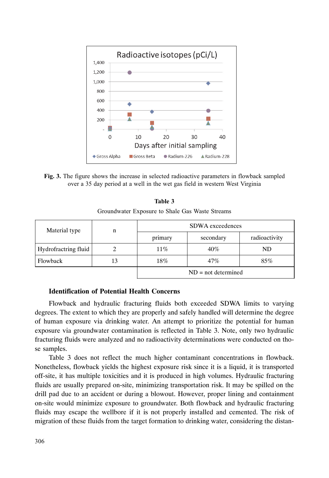

Fig. 3. The figure shows the increase in selected radioactive parameters in flowback sampled over a 35 day period at a well in the wet gas field in western West Virginia

| Table 3                                         |  |
|-------------------------------------------------|--|
| Groundwater Exposure to Shale Gas Waste Streams |  |

| Material type        | n  | <b>SDWA</b> exceedences |           |               |  |
|----------------------|----|-------------------------|-----------|---------------|--|
|                      |    | primary                 | secondary | radioactivity |  |
| Hydrofractring fluid |    | $11\%$                  | 40%       | ND.           |  |
| Flowback             | 13 | 18%                     | 47%       | 85%           |  |
|                      |    | $ND = not determined$   |           |               |  |

#### **Identification of Potential Health Concerns**

Flowback and hydraulic fracturing fluids both exceeded SDWA limits to varying degrees. The extent to which they are properly and safely handled will determine the degree of human exposure via drinking water. An attempt to prioritize the potential for human exposure via groundwater contamination is reflected in Table 3. Note, only two hydraulic fracturing fluids were analyzed and no radioactivity determinations were conducted on those samples.

Table 3 does not reflect the much higher contaminant concentrations in flowback. Nonetheless, flowback yields the highest exposure risk since it is a liquid, it is transported off-site, it has multiple toxicities and it is produced in high volumes. Hydraulic fracturing fluids are usually prepared on-site, minimizing transportation risk. It may be spilled on the drill pad due to an accident or during a blowout. However, proper lining and containment on-site would minimize exposure to groundwater. Both flowback and hydraulic fracturing fluids may escape the wellbore if it is not properly installed and cemented. The risk of migration of these fluids from the target formation to drinking water, considering the distan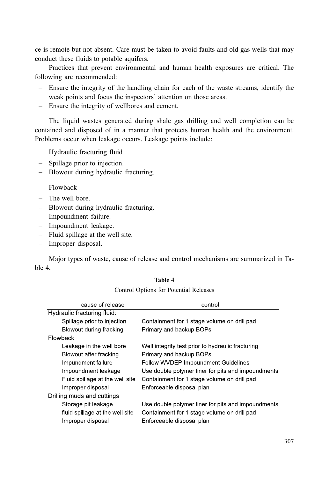ce is remote but not absent. Care must be taken to avoid faults and old gas wells that may conduct these fluids to potable aquifers.

Practices that prevent environmental and human health exposures are critical. The following are recommended:

- Ensure the integrity of the handling chain for each of the waste streams, identify the  $\equiv$  . weak points and focus the inspectors' attention on those areas.
- Ensure the integrity of wellbores and cement.

The liquid wastes generated during shale gas drilling and well completion can be contained and disposed of in a manner that protects human health and the environment. Problems occur when leakage occurs. Leakage points include:

Hydraulic fracturing fluid

- Spillage prior to injection.
- Blowout during hydraulic fracturing.

#### Flowback

- $-$  The well bore.
- Blowout during hydraulic fracturing.
- Impoundment failure.
- Impoundment leakage.
- Fluid spillage at the well site.
- Improper disposal.

Major types of waste, cause of release and control mechanisms are summarized in Table 4.

#### Table 4

Control Options for Potential Releases

| Use double polymer liner for pits and impoundments |
|----------------------------------------------------|
|                                                    |
|                                                    |
|                                                    |
| Use double polymer liner for pits and impoundments |
|                                                    |
|                                                    |
|                                                    |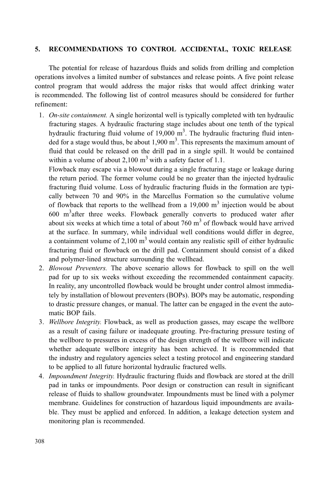#### $5<sub>-</sub>$ RECOMMENDATIONS TO CONTROL ACCIDENTAL, TOXIC RELEASE

The potential for release of hazardous fluids and solids from drilling and completion operations involves a limited number of substances and release points. A five point release control program that would address the major risks that would affect drinking water is recommended. The following list of control measures should be considered for further refinement:

1. *On-site containment*. A single horizontal well is typically completed with ten hydraulic fracturing stages. A hydraulic fracturing stage includes about one tenth of the typical hydraulic fracturing fluid volume of  $19,000 \text{ m}^3$ . The hydraulic fracturing fluid intended for a stage would thus, be about  $1,900 \text{ m}^3$ . This represents the maximum amount of fluid that could be released on the drill pad in a single spill. It would be contained within a volume of about 2,100  $m<sup>3</sup>$  with a safety factor of 1.1.

Flowback may escape via a blowout during a single fracturing stage or leakage during the return period. The former volume could be no greater than the injected hydraulic fracturing fluid volume. Loss of hydraulic fracturing fluids in the formation are typically between 70 and 90% in the Marcellus Formation so the cumulative volume of flowback that reports to the wellhead from a  $19,000 \text{ m}^3$  injection would be about 600 m<sup>3</sup> after three weeks. Flowback generally converts to produced water after about six weeks at which time a total of about  $760 \text{ m}^3$  of flowback would have arrived at the surface. In summary, while individual well conditions would differ in degree, a containment volume of 2,100  $m<sup>3</sup>$  would contain any realistic spill of either hydraulic fracturing fluid or flowback on the drill pad. Containment should consist of a diked and polymer-lined structure surrounding the wellhead.

- 2. *Blowout Preventers*. The above scenario allows for flowback to spill on the well pad for up to six weeks without exceeding the recommended containment capacity. In reality, any uncontrolled flowback would be brought under control almost immediately by installation of blowout preventers (BOPs). BOPs may be automatic, responding to drastic pressure changes, or manual. The latter can be engaged in the event the automatic BOP fails.
- 3. Wellbore Integrity. Flowback, as well as production gasses, may escape the wellbore as a result of casing failure or inadequate grouting. Pre-fracturing pressure testing of the wellbore to pressures in excess of the design strength of the wellbore will indicate whether adequate wellbore integrity has been achieved. It is recommended that the industry and regulatory agencies select a testing protocol and engineering standard to be applied to all future horizontal hydraulic fractured wells.
- 4. Impoundment Integrity. Hydraulic fracturing fluids and flowback are stored at the drill pad in tanks or impoundments. Poor design or construction can result in significant release of fluids to shallow groundwater. Impoundments must be lined with a polymer membrane. Guidelines for construction of hazardous liquid impoundments are available. They must be applied and enforced. In addition, a leakage detection system and monitoring plan is recommended.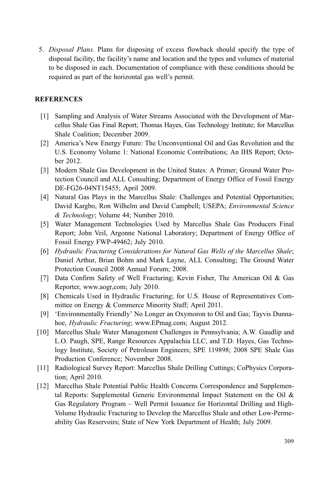5. Disposal Plans. Plans for disposing of excess flowback should specify the type of disposal facility, the facility's name and location and the types and volumes of material to be disposed in each. Documentation of compliance with these conditions should be required as part of the horizontal gas well's permit.

## **REFERENCES**

- [1] Sampling and Analysis of Water Streams Associated with the Development of Marcellus Shale Gas Final Report; Thomas Hayes, Gas Technology Institute; for Marcellus Shale Coalition; December 2009.
- [2] America's New Energy Future: The Unconventional Oil and Gas Revolution and the U.S. Economy Volume 1: National Economic Contributions; An IHS Report; October 2012.
- [3] Modern Shale Gas Development in the United States: A Primer; Ground Water Protection Council and ALL Consulting; Department of Energy Office of Fossil Energy DE-FG26-04NT15455; April 2009.
- [4] Natural Gas Plays in the Marcellus Shale: Challenges and Potential Opportunities; David Kargbo, Ron Wilhelm and David Campbell; USEPA; Environmental Science & Technology; Volume 44; Number 2010.
- [5] Water Management Technologies Used by Marcellus Shale Gas Producers Final Report; John Veil, Argonne National Laboratory; Department of Energy Office of Fossil Energy FWP-49462; July 2010.
- [6] Hydraulic Fracturing Considerations for Natural Gas Wells of the Marcellus Shale; Daniel Arthur, Brian Bohm and Mark Layne, ALL Consulting; The Ground Water Protection Council 2008 Annual Forum; 2008.
- [7] Data Confirm Safety of Well Fracturing; Kevin Fisher, The American Oil & Gas Reporter, www.aogr.com; July 2010.
- [8] Chemicals Used in Hydraulic Fracturing; for U.S. House of Representatives Committee on Energy & Commerce Minority Staff; April 2011.
- [9] 'Environmentally Friendly' No Longer an Oxymoron to Oil and Gas; Tayvis Dunnahoe, *Hydraulic Fracturing*; www.EPmag.com; August 2012.
- [10] Marcellus Shale Water Management Challenges in Pennsylvania; A.W. Gaudlip and L.O. Paugh, SPE, Range Resources Appalachia LLC, and T.D. Hayes, Gas Technology Institute, Society of Petroleum Engineers; SPE 119898; 2008 SPE Shale Gas Production Conference; November 2008.
- [11] Radiological Survey Report: Marcellus Shale Drilling Cuttings; CoPhysics Corporation; April 2010.
- [12] Marcellus Shale Potential Public Health Concerns Correspondence and Supplemental Reports: Supplemental Generic Environmental Impact Statement on the Oil  $\&$ Gas Regulatory Program - Well Permit Issuance for Horizontal Drilling and High-Volume Hydraulic Fracturing to Develop the Marcellus Shale and other Low-Permeability Gas Reservoirs; State of New York Department of Health; July 2009.